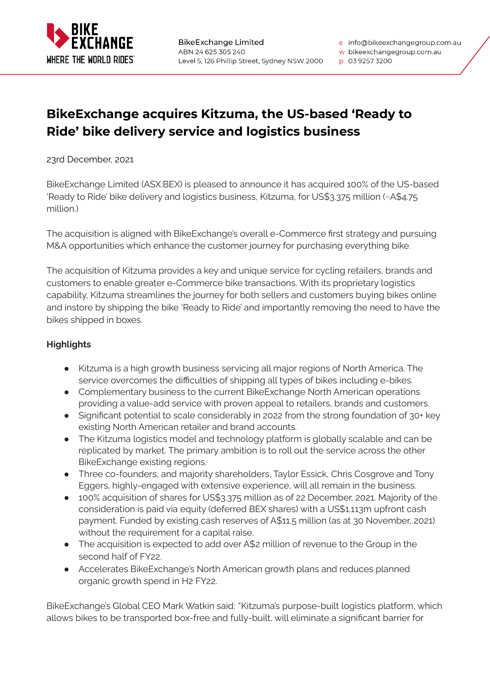

w bikeexchangegroup.com.au

p 03 9257 3200

## **BikeExchange acquires Kitzuma, the US-based 'Ready to Ride' bike delivery service and logistics business**

23rd December, 2021

BikeExchange Limited (ASX:BEX) is pleased to announce it has acquired 100% of the US-based 'Ready to Ride' bike delivery and logistics business, Kitzuma, for US\$3.375 million (~A\$4.75 million.)

The acquisition is aligned with BikeExchange's overall e-Commerce first strategy and pursuing M&A opportunities which enhance the customer journey for purchasing everything bike.

The acquisition of Kitzuma provides a key and unique service for cycling retailers, brands and customers to enable greater e-Commerce bike transactions. With its proprietary logistics capability, Kitzuma streamlines the journey for both sellers and customers buying bikes online and instore by shipping the bike 'Ready to Ride' and importantly removing the need to have the bikes shipped in boxes.

### **Highlights**

- Kitzuma is a high growth business servicing all major regions of North America. The service overcomes the difficulties of shipping all types of bikes including e-bikes.
- Complementary business to the current BikeExchange North American operations providing a value-add service with proven appeal to retailers, brands and customers.
- Significant potential to scale considerably in 2022 from the strong foundation of  $30+$  key existing North American retailer and brand accounts.
- The Kitzuma logistics model and technology platform is globally scalable and can be replicated by market. The primary ambition is to roll out the service across the other BikeExchange existing regions.
- Three co-founders, and majority shareholders, Taylor Essick, Chris Cosgrove and Tony Eggers, highly-engaged with extensive experience, will all remain in the business.
- 100% acquisition of shares for US\$3.375 million as of 22 December, 2021. Majority of the consideration is paid via equity (deferred BEX shares) with a US\$1.113m upfront cash payment. Funded by existing cash reserves of A\$11.5 million (as at 30 November, 2021) without the requirement for a capital raise.
- The acquisition is expected to add over A\$2 million of revenue to the Group in the second half of FY22.
- Accelerates BikeExchange's North American growth plans and reduces planned organic growth spend in H2 FY22.

BikeExchange's Global CEO Mark Watkin said: "Kitzuma's purpose-built logistics platform, which allows bikes to be transported box-free and fully-built, will eliminate a significant barrier for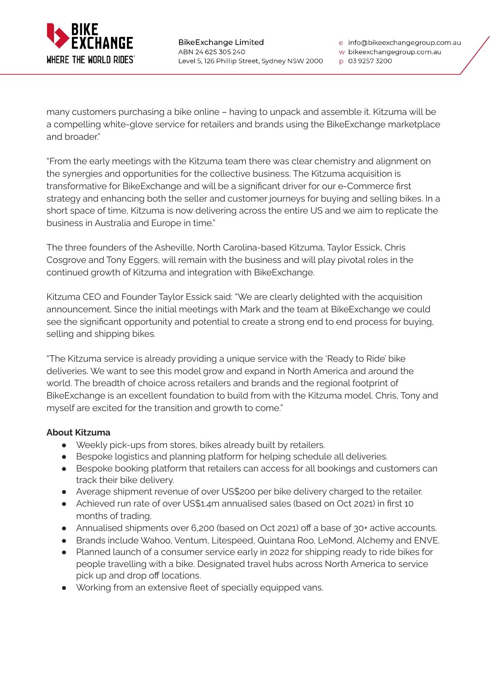

w bikeexchangegroup.com.au

p 03 9257 3200

many customers purchasing a bike online – having to unpack and assemble it. Kitzuma will be a compelling white-glove service for retailers and brands using the BikeExchange marketplace and broader."

"From the early meetings with the Kitzuma team there was clear chemistry and alignment on the synergies and opportunities for the collective business. The Kitzuma acquisition is transformative for BikeExchange and will be a significant driver for our e-Commerce first strategy and enhancing both the seller and customer journeys for buying and selling bikes. In a short space of time, Kitzuma is now delivering across the entire US and we aim to replicate the business in Australia and Europe in time."

The three founders of the Asheville, North Carolina-based Kitzuma, Taylor Essick, Chris Cosgrove and Tony Eggers, will remain with the business and will play pivotal roles in the continued growth of Kitzuma and integration with BikeExchange.

Kitzuma CEO and Founder Taylor Essick said: "We are clearly delighted with the acquisition announcement. Since the initial meetings with Mark and the team at BikeExchange we could see the significant opportunity and potential to create a strong end to end process for buying, selling and shipping bikes.

"The Kitzuma service is already providing a unique service with the 'Ready to Ride' bike deliveries. We want to see this model grow and expand in North America and around the world. The breadth of choice across retailers and brands and the regional footprint of BikeExchange is an excellent foundation to build from with the Kitzuma model. Chris, Tony and myself are excited for the transition and growth to come."

#### **About Kitzuma**

- Weekly pick-ups from stores, bikes already built by retailers.
- Bespoke logistics and planning platform for helping schedule all deliveries.
- Bespoke booking platform that retailers can access for all bookings and customers can track their bike delivery.
- Average shipment revenue of over US\$200 per bike delivery charged to the retailer.
- Achieved run rate of over US\$1.4m annualised sales (based on Oct 2021) in first 10 months of trading.
- Annualised shipments over 6,200 (based on Oct 2021) off a base of 30+ active accounts.
- Brands include Wahoo, Ventum, Litespeed, Quintana Roo, LeMond, Alchemy and ENVE.
- Planned launch of a consumer service early in 2022 for shipping ready to ride bikes for people travelling with a bike. Designated travel hubs across North America to service pick up and drop off locations.
- Working from an extensive fleet of specially equipped vans.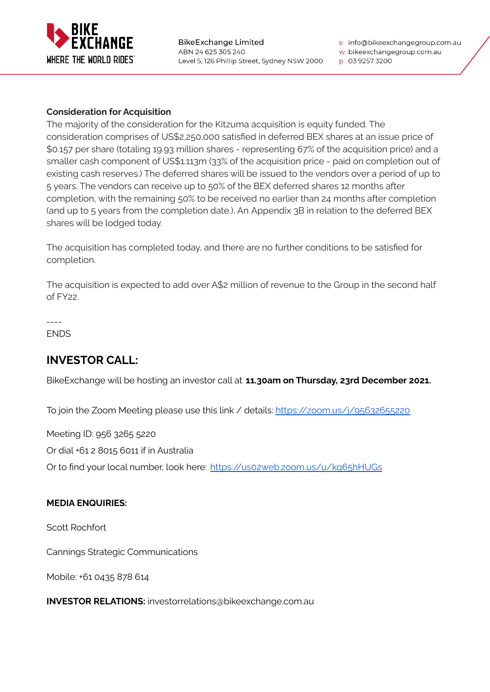

w bikeexchangegroup.com.au

p 03 9257 3200

#### **Consideration for Acquisition**

The majority of the consideration for the Kitzuma acquisition is equity funded. The consideration comprises of US\$2,250,000 satisfied in deferred BEX shares at an issue price of \$0.157 per share (totaling 19.93 million shares - representing 67% of the acquisition price) and a smaller cash component of US\$1.113m (33% of the acquisition price - paid on completion out of existing cash reserves.) The deferred shares will be issued to the vendors over a period of up to 5 years. The vendors can receive up to 50% of the BEX deferred shares 12 months after completion, with the remaining 50% to be received no earlier than 24 months after completion (and up to 5 years from the completion date.). An Appendix 3B in relation to the deferred BEX shares will be lodged today.

The acquisition has completed today, and there are no further conditions to be satisfied for completion.

The acquisition is expected to add over A\$2 million of revenue to the Group in the second half of FY22.

---- ENDS

# **INVESTOR CALL:**

BikeExchange will be hosting an investor call at **11.30am on Thursday, 23rd December 2021.**

To join the Zoom Meeting please use this link / details: <https://zoom.us/j/95632655220>

Meeting ID: 956 3265 5220

Or dial +61 2 8015 6011 if in Australia

Or to find your local number, look here: <https://us02web.zoom.us/u/kq65hHUGs>

#### **MEDIA ENQUIRIES:**

Scott Rochfort

Cannings Strategic Communications

Mobile: +61 0435 878 614

**INVESTOR RELATIONS:** investorrelations@bikeexchange.com.au